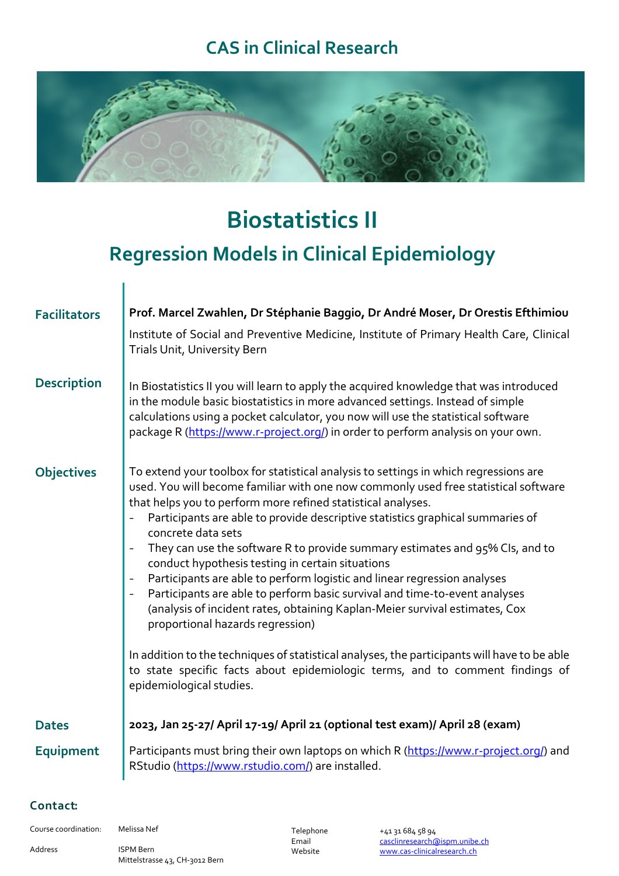### **CAS in Clinical Research**



# **Biostatistics II**

# **Regression Models in Clinical Epidemiology**

| <b>Facilitators</b> | Prof. Marcel Zwahlen, Dr Stéphanie Baggio, Dr André Moser, Dr Orestis Efthimiou<br>Institute of Social and Preventive Medicine, Institute of Primary Health Care, Clinical<br>Trials Unit, University Bern                                                                                                                                                                                                                                                                                                                                                                                                                                                                                                                                                                                                                                                                                                                                                                                                                             |
|---------------------|----------------------------------------------------------------------------------------------------------------------------------------------------------------------------------------------------------------------------------------------------------------------------------------------------------------------------------------------------------------------------------------------------------------------------------------------------------------------------------------------------------------------------------------------------------------------------------------------------------------------------------------------------------------------------------------------------------------------------------------------------------------------------------------------------------------------------------------------------------------------------------------------------------------------------------------------------------------------------------------------------------------------------------------|
| <b>Description</b>  | In Biostatistics II you will learn to apply the acquired knowledge that was introduced<br>in the module basic biostatistics in more advanced settings. Instead of simple<br>calculations using a pocket calculator, you now will use the statistical software<br>package R (https://www.r-project.org/) in order to perform analysis on your own.                                                                                                                                                                                                                                                                                                                                                                                                                                                                                                                                                                                                                                                                                      |
| <b>Objectives</b>   | To extend your toolbox for statistical analysis to settings in which regressions are<br>used. You will become familiar with one now commonly used free statistical software<br>that helps you to perform more refined statistical analyses.<br>Participants are able to provide descriptive statistics graphical summaries of<br>concrete data sets<br>They can use the software R to provide summary estimates and 95% CIs, and to<br>$\blacksquare$<br>conduct hypothesis testing in certain situations<br>Participants are able to perform logistic and linear regression analyses<br>$\blacksquare$<br>Participants are able to perform basic survival and time-to-event analyses<br>$\frac{1}{2}$<br>(analysis of incident rates, obtaining Kaplan-Meier survival estimates, Cox<br>proportional hazards regression)<br>In addition to the techniques of statistical analyses, the participants will have to be able<br>to state specific facts about epidemiologic terms, and to comment findings of<br>epidemiological studies. |
| <b>Dates</b>        | 2023, Jan 25-27/ April 17-19/ April 21 (optional test exam)/ April 28 (exam)                                                                                                                                                                                                                                                                                                                                                                                                                                                                                                                                                                                                                                                                                                                                                                                                                                                                                                                                                           |
| Equipment           | Participants must bring their own laptops on which R (https://www.r-project.org/) and<br>RStudio (https://www.rstudio.com/) are installed.                                                                                                                                                                                                                                                                                                                                                                                                                                                                                                                                                                                                                                                                                                                                                                                                                                                                                             |

#### Contact:

Course coordination: Melissa Nef

I